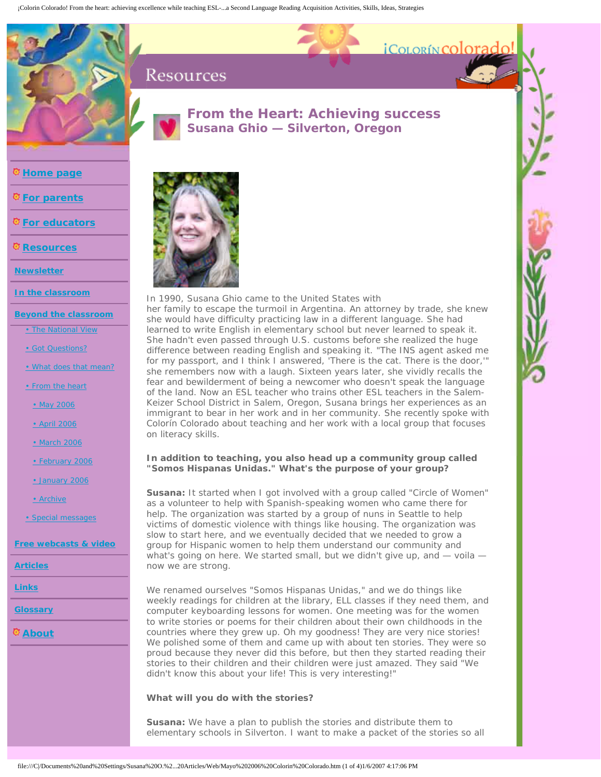¡Colorin Colorado! From the heart: achieving excellence while teaching ESL-...a Second Language Reading Acquisition Activities, Skills, Ideas, Strategies

# Resources



## **From the Heart: Achieving success** *Susana Ghio — Silverton, Oregon*

*i*COLORÍN COLOT

**[Home page](http://www.colorincolorado.org/homepage.php)**

**Q**[For parents](http://www.colorincolorado.org/parents/)

**[For educators](http://www.colorincolorado.org/educators/)**

**[Resources](http://www.colorincolorado.org/resources/)**

**[Newsletter](http://www.colorincolorado.org/newsletter/)**

**[In the classroom](http://www.colorincolorado.org/inclass/)**

**[Beyond the classroom](http://www.colorincolorado.org/beyondclass/)**

[• The National View](http://www.colorincolorado.org/beyondclass/nationalview.php)

[• Got Questions?](http://www.colorincolorado.org/beyondclass/faq.php)

[• What does that mean?](http://www.colorincolorado.org/beyondclass/mean.php)

[• From the heart](http://www.colorincolorado.org/beyondclass/fromheart.php)

[• May 2006](http://www.colorincolorado.org/beyondclass/fromheart_may06.php)

[• April 2006](http://www.colorincolorado.org/beyondclass/fromheart_apr06.php)

[• March 2006](http://www.colorincolorado.org/beyondclass/fromheart_mar06.php)

[• February 2006](http://www.colorincolorado.org/beyondclass/fromheart_feb06.php)

[• January 2006](http://www.colorincolorado.org/beyondclass/fromheart_jan06.php)

[• Archive](http://www.colorincolorado.org/beyondclass/fromheart_archive.php)

[• Special messages](http://www.colorincolorado.org/messages/cruz.php)

**[Free webcasts & video](http://www.colorincolorado.org/webcasts/)**

**[Articles](http://www.colorincolorado.org/articles/)**

**[Links](http://www.colorincolorado.org/links/)**

**[Glossary](http://www.colorincolorado.org/glossary/)**

**[About](http://www.colorincolorado.org/about/)**



*In 1990, Susana Ghio came to the United States with her family to escape the turmoil in Argentina. An attorney by trade, she knew she would have difficulty practicing law in a different language. She had*  learned to write English in elementary school but never learned to speak it. *She hadn't even passed through U.S. customs before she realized the huge difference between reading English and speaking it. "The INS agent asked me for my passport, and I think I answered, 'There is the cat. There is the door,'" she remembers now with a laugh. Sixteen years later, she vividly recalls the fear and bewilderment of being a newcomer who doesn't speak the language of the land. Now an ESL teacher who trains other ESL teachers in the Salem-Keizer School District in Salem, Oregon, Susana brings her experiences as an immigrant to bear in her work and in her community. She recently spoke with Colorín Colorado about teaching and her work with a local group that focuses on literacy skills.*

## **In addition to teaching, you also head up a community group called "Somos Hispanas Unidas." What's the purpose of your group?**

**Susana:** It started when I got involved with a group called "Circle of Women" as a volunteer to help with Spanish-speaking women who came there for help. The organization was started by a group of nuns in Seattle to help victims of domestic violence with things like housing. The organization was slow to start here, and we eventually decided that we needed to grow a group for Hispanic women to help them understand our community and what's going on here. We started small, but we didn't give up, and  $-$  voila  $$ now we are strong.

We renamed ourselves "Somos Hispanas Unidas," and we do things like weekly readings for children at the library, ELL classes if they need them, and computer keyboarding lessons for women. One meeting was for the women to write stories or poems for their children about their own childhoods in the countries where they grew up. Oh my goodness! They are very nice stories! We polished some of them and came up with about ten stories. They were so proud because they never did this before, but then they started reading their stories to their children and their children were just amazed. They said "We didn't know this about your life! This is very interesting!"

## **What will you do with the stories?**

**Susana:** We have a plan to publish the stories and distribute them to elementary schools in Silverton. I want to make a packet of the stories so all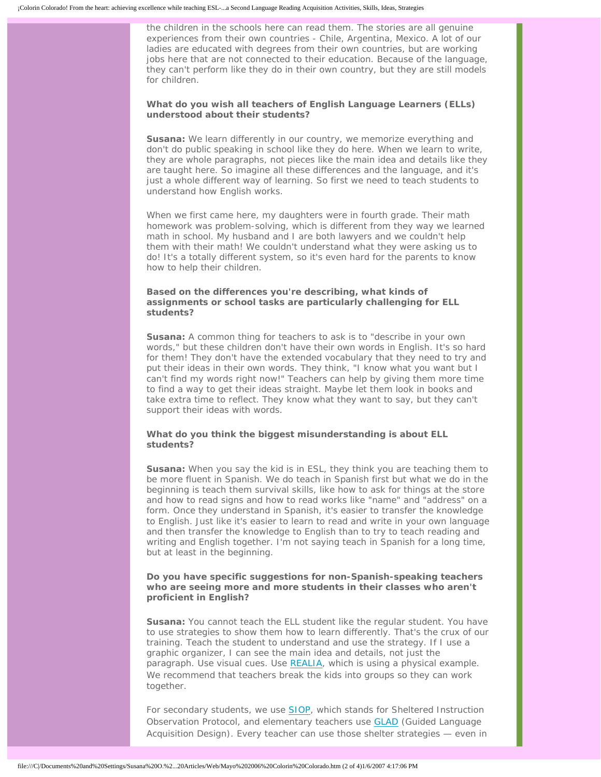the children in the schools here can read them. The stories are all genuine experiences from their own countries - Chile, Argentina, Mexico. A lot of our ladies are educated with degrees from their own countries, but are working jobs here that are not connected to their education. Because of the language, they can't perform like they do in their own country, but they are still models for children.

#### **What do you wish all teachers of English Language Learners (ELLs) understood about their students?**

**Susana:** We learn differently in our country, we memorize everything and don't do public speaking in school like they do here. When we learn to write, they are whole paragraphs, not pieces like the main idea and details like they are taught here. So imagine all these differences and the language, and it's just a whole different way of learning. So first we need to teach students to understand how English works.

When we first came here, my daughters were in fourth grade. Their math homework was problem-solving, which is different from they way we learned math in school. My husband and I are both lawyers and we couldn't help them with their math! We couldn't understand what they were asking us to do! It's a totally different system, so it's even hard for the parents to know how to help their children.

## **Based on the differences you're describing, what kinds of assignments or school tasks are particularly challenging for ELL students?**

**Susana:** A common thing for teachers to ask is to "describe in your own words," but these children don't have their own words in English. It's so hard for them! They don't have the extended vocabulary that they need to try and put their ideas in their own words. They think, "I know what you want but I can't find my words right now!" Teachers can help by giving them more time to find a way to get their ideas straight. Maybe let them look in books and take extra time to reflect. They know what they want to say, but they can't support their ideas with words.

## **What do you think the biggest misunderstanding is about ELL students?**

**Susana:** When you say the kid is in ESL, they think you are teaching them to be more fluent in Spanish. We do teach in Spanish first but what we do in the beginning is teach them survival skills, like how to ask for things at the store and how to read signs and how to read works like "name" and "address" on a form. Once they understand in Spanish, it's easier to transfer the knowledge to English. Just like it's easier to learn to read and write in your own language and then transfer the knowledge to English than to try to teach reading and writing and English together. I'm not saying teach in Spanish for a long time, but at least in the beginning.

## **Do you have specific suggestions for non-Spanish-speaking teachers who are seeing more and more students in their classes who aren't proficient in English?**

**Susana:** You cannot teach the ELL student like the regular student. You have to use strategies to show them how to learn differently. That's the crux of our training. Teach the student to understand and use the strategy. If I use a graphic organizer, I can see the main idea and details, not just the paragraph. Use visual cues. Use [REALIA](http://www.realiaproject.org/index.html), which is using a physical example. We recommend that teachers break the kids into groups so they can work together.

For secondary students, we use **SIOP**, which stands for Sheltered Instruction Observation Protocol, and elementary teachers use [GLAD](http://www.projectglad.com/glad.html) (Guided Language Acquisition Design). Every teacher can use those shelter strategies — even in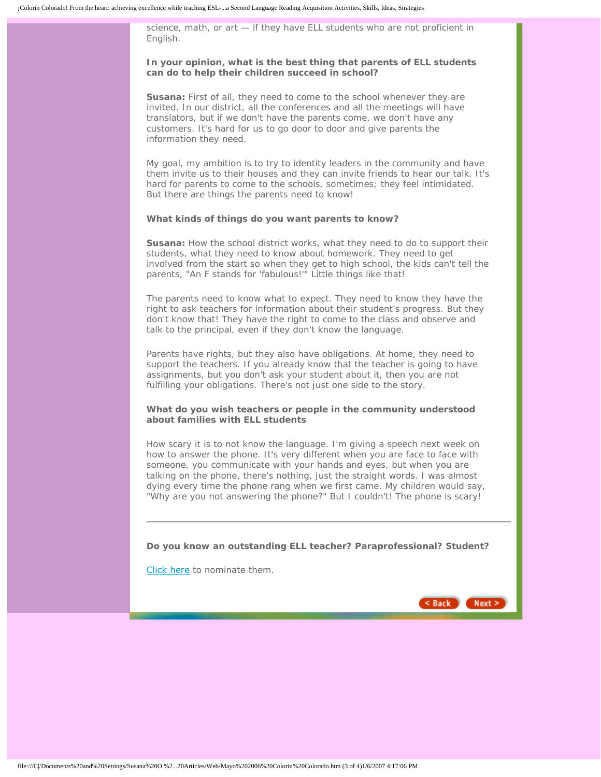science, math, or art — if they have ELL students who are not proficient in English.

#### **In your opinion, what is the best thing that parents of ELL students can do to help their children succeed in school?**

**Susana:** First of all, they need to come to the school whenever they are invited. In our district, all the conferences and all the meetings will have translators, but if we don't have the parents come, we don't have any customers. It's hard for us to go door to door and give parents the information they need.

My goal, my ambition is to try to identity leaders in the community and have them invite us to their houses and they can invite friends to hear our talk. It's hard for parents to come to the schools, sometimes; they feel intimidated. But there are things the parents need to know!

#### **What kinds of things do you want parents to know?**

**Susana:** How the school district works, what they need to do to support their students, what they need to know about homework. They need to get involved from the start so when they get to high school, the kids can't tell the parents, "An F stands for 'fabulous!'" Little things like that!

The parents need to know what to expect. They need to know they have the right to ask teachers for information about their student's progress. But they don't know that! They have the right to come to the class and observe and talk to the principal, even if they don't know the language.

Parents have rights, but they also have obligations. At home, they need to support the teachers. If you already know that the teacher is going to have assignments, but you don't ask your student about it, then you are not fulfilling your obligations. There's not just one side to the story.

#### **What do you wish teachers or people in the community understood about families with ELL students**

How scary it is to not know the language. I'm giving a speech next week on how to answer the phone. It's very different when you are face to face with someone, you communicate with your hands and eyes, but when you are talking on the phone, there's nothing, just the straight words. I was almost dying every time the phone rang when we first came. My children would say, "Why are you not answering the phone?" But I couldn't! The phone is scary!

**Do you know an outstanding ELL teacher? Paraprofessional? Student?**

[Click here](http://www.colorincolorado.org/beyondclass/nomination.php) to nominate them.

 $<$  Back  $Next$